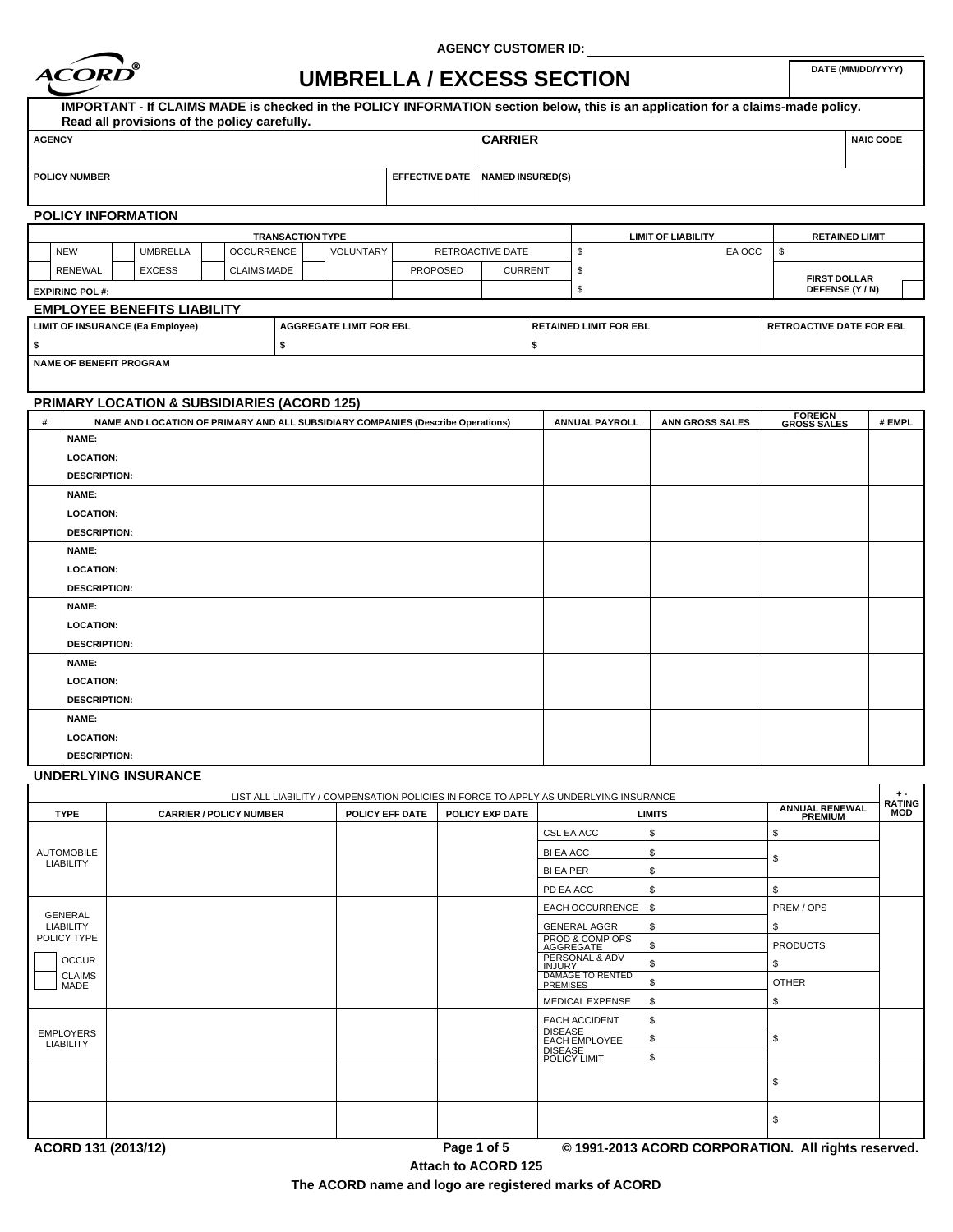

**AGENCY CUSTOMER ID:**

# UMBRELLA / EXCESS SECTION

|               |                                |  |                                         |                                              |                   |                                             |                                                                                 |                         |                           |                               | IMPORTANT - If CLAIMS MADE is checked in the POLICY INFORMATION section below, this is an application for a claims-made policy. |                                |                     |  |  |
|---------------|--------------------------------|--|-----------------------------------------|----------------------------------------------|-------------------|---------------------------------------------|---------------------------------------------------------------------------------|-------------------------|---------------------------|-------------------------------|---------------------------------------------------------------------------------------------------------------------------------|--------------------------------|---------------------|--|--|
|               |                                |  |                                         | Read all provisions of the policy carefully. |                   |                                             |                                                                                 |                         |                           |                               |                                                                                                                                 |                                |                     |  |  |
| <b>AGENCY</b> |                                |  |                                         |                                              |                   |                                             |                                                                                 | <b>CARRIER</b>          |                           |                               |                                                                                                                                 |                                | <b>NAIC CODE</b>    |  |  |
|               |                                |  |                                         |                                              |                   |                                             |                                                                                 |                         |                           |                               |                                                                                                                                 |                                |                     |  |  |
|               | <b>POLICY NUMBER</b>           |  |                                         |                                              |                   |                                             | <b>EFFECTIVE DATE</b>                                                           | <b>NAMED INSURED(S)</b> |                           |                               |                                                                                                                                 |                                |                     |  |  |
|               |                                |  |                                         |                                              |                   |                                             |                                                                                 |                         |                           |                               |                                                                                                                                 |                                |                     |  |  |
|               | <b>POLICY INFORMATION</b>      |  |                                         |                                              |                   |                                             |                                                                                 |                         |                           |                               |                                                                                                                                 |                                |                     |  |  |
|               | <b>TRANSACTION TYPE</b>        |  |                                         |                                              |                   |                                             |                                                                                 |                         | <b>LIMIT OF LIABILITY</b> |                               | <b>RETAINED LIMIT</b>                                                                                                           |                                |                     |  |  |
|               | <b>NEW</b>                     |  | <b>UMBRELLA</b>                         |                                              | <b>OCCURRENCE</b> | VOLUNTARY                                   |                                                                                 | RETROACTIVE DATE        |                           | \$                            | EA OCC                                                                                                                          | \$                             |                     |  |  |
|               | <b>RENEWAL</b>                 |  | <b>EXCESS</b>                           | <b>CLAIMS MADE</b>                           |                   |                                             | <b>PROPOSED</b>                                                                 | <b>CURRENT</b>          |                           | \$                            |                                                                                                                                 |                                | <b>FIRST DOLLAR</b> |  |  |
|               | <b>EXPIRING POL #:</b>         |  |                                         |                                              |                   |                                             |                                                                                 |                         | \$                        |                               |                                                                                                                                 |                                | DEFENSE (Y / N)     |  |  |
|               |                                |  | <b>EMPLOYEE BENEFITS LIABILITY</b>      |                                              |                   |                                             |                                                                                 |                         |                           |                               |                                                                                                                                 |                                |                     |  |  |
|               |                                |  | <b>LIMIT OF INSURANCE (Ea Employee)</b> |                                              |                   | <b>AGGREGATE LIMIT FOR EBL</b>              |                                                                                 |                         |                           | <b>RETAINED LIMIT FOR EBL</b> | <b>RETROACTIVE DATE FOR EBL</b>                                                                                                 |                                |                     |  |  |
| \$            |                                |  |                                         |                                              | \$                |                                             |                                                                                 |                         | \$                        |                               |                                                                                                                                 |                                |                     |  |  |
|               | <b>NAME OF BENEFIT PROGRAM</b> |  |                                         |                                              |                   |                                             |                                                                                 |                         |                           |                               |                                                                                                                                 |                                |                     |  |  |
|               |                                |  |                                         |                                              |                   |                                             |                                                                                 |                         |                           |                               |                                                                                                                                 |                                |                     |  |  |
|               |                                |  |                                         |                                              |                   | PRIMARY LOCATION & SUBSIDIARIES (ACORD 125) |                                                                                 |                         |                           |                               |                                                                                                                                 |                                |                     |  |  |
| #             |                                |  |                                         |                                              |                   |                                             | NAME AND LOCATION OF PRIMARY AND ALL SUBSIDIARY COMPANIES (Describe Operations) |                         |                           | <b>ANNUAL PAYROLL</b>         | <b>ANN GROSS SALES</b>                                                                                                          | <b>FOREIGN<br/>GROSS SALES</b> | # EMPL              |  |  |
|               | NAME:                          |  |                                         |                                              |                   |                                             |                                                                                 |                         |                           |                               |                                                                                                                                 |                                |                     |  |  |
|               | <b>LOCATION:</b>               |  |                                         |                                              |                   |                                             |                                                                                 |                         |                           |                               |                                                                                                                                 |                                |                     |  |  |
|               | <b>DESCRIPTION:</b>            |  |                                         |                                              |                   |                                             |                                                                                 |                         |                           |                               |                                                                                                                                 |                                |                     |  |  |
|               | NAME:                          |  |                                         |                                              |                   |                                             |                                                                                 |                         |                           |                               |                                                                                                                                 |                                |                     |  |  |
|               | <b>LOCATION:</b>               |  |                                         |                                              |                   |                                             |                                                                                 |                         |                           |                               |                                                                                                                                 |                                |                     |  |  |
|               | <b>DESCRIPTION:</b>            |  |                                         |                                              |                   |                                             |                                                                                 |                         |                           |                               |                                                                                                                                 |                                |                     |  |  |
|               | NAME:                          |  |                                         |                                              |                   |                                             |                                                                                 |                         |                           |                               |                                                                                                                                 |                                |                     |  |  |
|               | <b>LOCATION:</b>               |  |                                         |                                              |                   |                                             |                                                                                 |                         |                           |                               |                                                                                                                                 |                                |                     |  |  |
|               | <b>DESCRIPTION:</b>            |  |                                         |                                              |                   |                                             |                                                                                 |                         |                           |                               |                                                                                                                                 |                                |                     |  |  |
|               | NAME:                          |  |                                         |                                              |                   |                                             |                                                                                 |                         |                           |                               |                                                                                                                                 |                                |                     |  |  |
|               | <b>LOCATION:</b>               |  |                                         |                                              |                   |                                             |                                                                                 |                         |                           |                               |                                                                                                                                 |                                |                     |  |  |
|               | <b>DESCRIPTION:</b>            |  |                                         |                                              |                   |                                             |                                                                                 |                         |                           |                               |                                                                                                                                 |                                |                     |  |  |
|               | NAME:                          |  |                                         |                                              |                   |                                             |                                                                                 |                         |                           |                               |                                                                                                                                 |                                |                     |  |  |
|               | <b>LOCATION:</b>               |  |                                         |                                              |                   |                                             |                                                                                 |                         |                           |                               |                                                                                                                                 |                                |                     |  |  |
|               | <b>DESCRIPTION:</b>            |  |                                         |                                              |                   |                                             |                                                                                 |                         |                           |                               |                                                                                                                                 |                                |                     |  |  |
|               | <b>NAME:</b>                   |  |                                         |                                              |                   |                                             |                                                                                 |                         |                           |                               |                                                                                                                                 |                                |                     |  |  |
|               | <b>LOCATION:</b>               |  |                                         |                                              |                   |                                             |                                                                                 |                         |                           |                               |                                                                                                                                 |                                |                     |  |  |
|               | <b>DESCRIPTION:</b>            |  |                                         |                                              |                   |                                             |                                                                                 |                         |                           |                               |                                                                                                                                 |                                |                     |  |  |

## **UNDERLYING INSURANCE**

| <b>TYPE</b><br><b>CARRIER / POLICY NUMBER</b> | POLICY EFF DATE | POLICY EXP DATE |                                              | <b>LIMITS</b> | <b>ANNUAL RENEWAL</b><br>PREMIUM | <b>RATING</b><br>MOD |
|-----------------------------------------------|-----------------|-----------------|----------------------------------------------|---------------|----------------------------------|----------------------|
|                                               |                 |                 | CSL EA ACC                                   | \$            | \$                               |                      |
| <b>AUTOMOBILE</b>                             |                 |                 | <b>BI EA ACC</b>                             | \$            | ደ                                |                      |
| <b>LIABILITY</b>                              |                 |                 | <b>BI EA PER</b>                             | \$            |                                  |                      |
|                                               |                 |                 | PD EA ACC                                    | \$            | \$                               |                      |
| <b>GENERAL</b>                                |                 |                 | EACH OCCURRENCE                              | \$            | PREM / OPS                       |                      |
| <b>LIABILITY</b>                              |                 |                 | <b>GENERAL AGGR</b>                          | \$            | \$                               |                      |
| POLICY TYPE                                   |                 |                 | PROD & COMP OPS<br>AGGREGATE                 | \$            | <b>PRODUCTS</b>                  |                      |
| <b>OCCUR</b>                                  |                 |                 | PERSONAL & ADV<br>INJURY<br>DAMAGE TO RENTED | \$            | \$                               |                      |
| <b>CLAIMS</b><br>MADE                         |                 |                 | <b>PREMISES</b>                              | \$            | <b>OTHER</b>                     |                      |
|                                               |                 |                 | <b>MEDICAL EXPENSE</b>                       | \$            | \$                               |                      |
|                                               |                 |                 | <b>EACH ACCIDENT</b>                         | \$            |                                  |                      |
| <b>EMPLOYERS</b><br><b>LIABILITY</b>          |                 |                 | <b>DISEASE</b><br>EACH EMPLOYEE              | \$            | \$                               |                      |
|                                               |                 |                 | <b>DISEASE</b><br>POLICY LIMIT               | \$            |                                  |                      |
|                                               |                 |                 |                                              |               | \$                               |                      |
|                                               |                 |                 |                                              |               |                                  |                      |
|                                               |                 |                 |                                              |               | \$                               |                      |

**Attach to ACORD 125**

**The ACORD name and logo are registered marks of ACORD**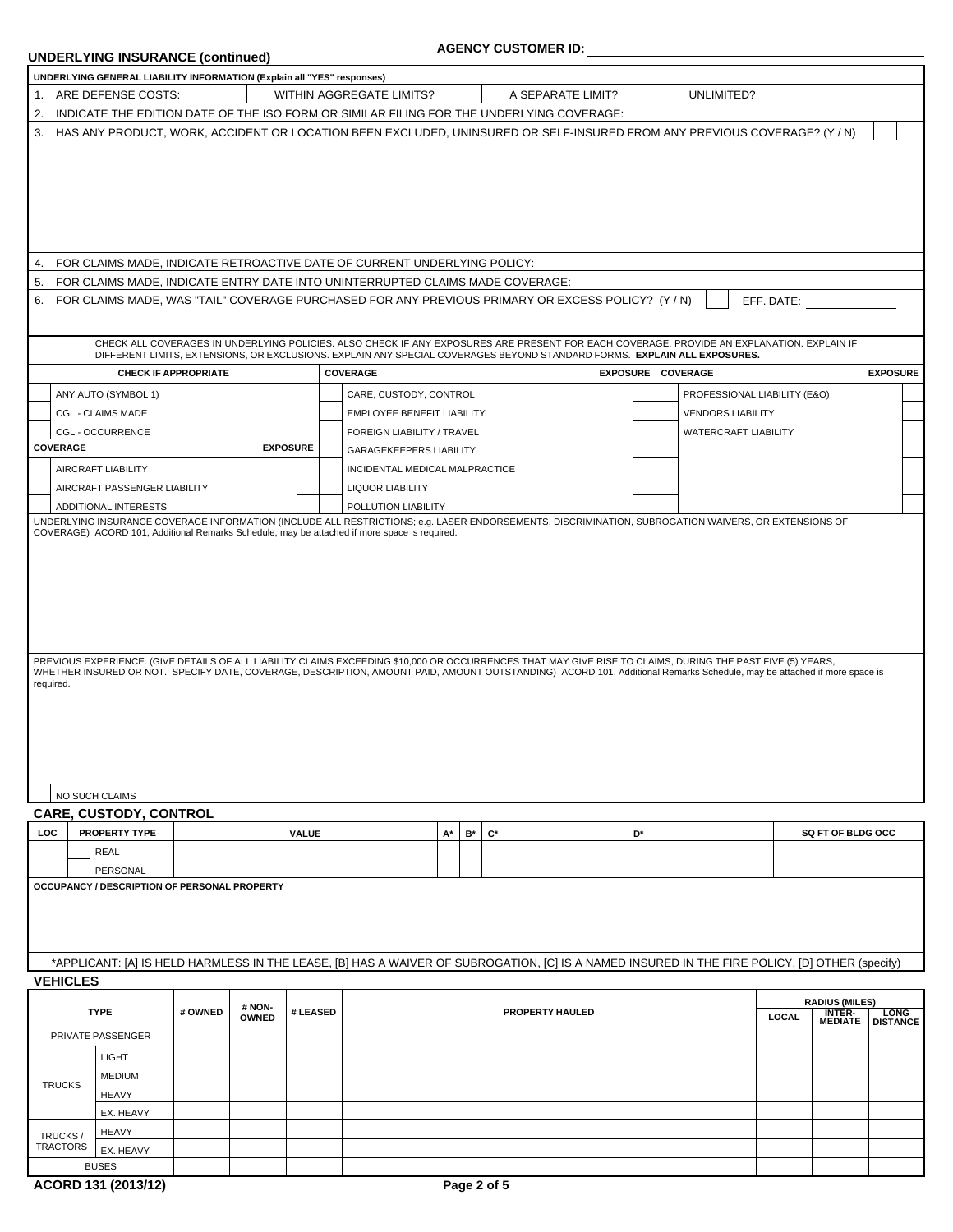# **UNDERLYING INSURANCE (continued)**

## **AGENCY CUSTOMER ID:**

| 1. ARE DEFENSE COSTS:                                                                                                                                                               |                             |                        |          | UNDERLYING GENERAL LIABILITY INFORMATION (Explain all "YES" responses)                   |    |                                        |                                                                                                                                                                                                                                                                       |    |  |                              |            |                          |                  |
|-------------------------------------------------------------------------------------------------------------------------------------------------------------------------------------|-----------------------------|------------------------|----------|------------------------------------------------------------------------------------------|----|----------------------------------------|-----------------------------------------------------------------------------------------------------------------------------------------------------------------------------------------------------------------------------------------------------------------------|----|--|------------------------------|------------|--------------------------|------------------|
|                                                                                                                                                                                     |                             |                        |          | WITHIN AGGREGATE LIMITS?                                                                 |    |                                        | A SEPARATE LIMIT?                                                                                                                                                                                                                                                     |    |  | UNLIMITED?                   |            |                          |                  |
| 2.                                                                                                                                                                                  |                             |                        |          | INDICATE THE EDITION DATE OF THE ISO FORM OR SIMILAR FILING FOR THE UNDERLYING COVERAGE: |    |                                        |                                                                                                                                                                                                                                                                       |    |  |                              |            |                          |                  |
| 3.                                                                                                                                                                                  |                             |                        |          |                                                                                          |    |                                        | HAS ANY PRODUCT, WORK, ACCIDENT OR LOCATION BEEN EXCLUDED, UNINSURED OR SELF-INSURED FROM ANY PREVIOUS COVERAGE? (Y / N)                                                                                                                                              |    |  |                              |            |                          |                  |
|                                                                                                                                                                                     |                             |                        |          |                                                                                          |    |                                        |                                                                                                                                                                                                                                                                       |    |  |                              |            |                          |                  |
| 4. FOR CLAIMS MADE, INDICATE RETROACTIVE DATE OF CURRENT UNDERLYING POLICY:                                                                                                         |                             |                        |          |                                                                                          |    |                                        |                                                                                                                                                                                                                                                                       |    |  |                              |            |                          |                  |
| 5.<br>6.                                                                                                                                                                            |                             |                        |          | FOR CLAIMS MADE. INDICATE ENTRY DATE INTO UNINTERRUPTED CLAIMS MADE COVERAGE:            |    |                                        | FOR CLAIMS MADE, WAS "TAIL" COVERAGE PURCHASED FOR ANY PREVIOUS PRIMARY OR EXCESS POLICY? (Y/N)                                                                                                                                                                       |    |  |                              | EFF. DATE: |                          |                  |
|                                                                                                                                                                                     |                             |                        |          |                                                                                          |    |                                        | CHECK ALL COVERAGES IN UNDERLYING POLICIES. ALSO CHECK IF ANY EXPOSURES ARE PRESENT FOR EACH COVERAGE. PROVIDE AN EXPLANATION. EXPLAIN IF<br>DIFFERENT LIMITS, EXTENSIONS, OR EXCLUSIONS. EXPLAIN ANY SPECIAL COVERAGES BEYOND STANDARD FORMS. EXPLAIN ALL EXPOSURES. |    |  |                              |            |                          |                  |
|                                                                                                                                                                                     | <b>CHECK IF APPROPRIATE</b> |                        |          | COVERAGE                                                                                 |    |                                        | <b>EXPOSURE</b>                                                                                                                                                                                                                                                       |    |  | COVERAGE                     |            |                          | <b>EXPOSURE</b>  |
| ANY AUTO (SYMBOL 1)                                                                                                                                                                 |                             |                        |          | CARE, CUSTODY, CONTROL                                                                   |    |                                        |                                                                                                                                                                                                                                                                       |    |  | PROFESSIONAL LIABILITY (E&O) |            |                          |                  |
| <b>CGL - CLAIMS MADE</b>                                                                                                                                                            |                             |                        |          | EMPLOYEE BENEFIT LIABILITY                                                               |    |                                        |                                                                                                                                                                                                                                                                       |    |  | <b>VENDORS LIABILITY</b>     |            |                          |                  |
| CGL - OCCURRENCE                                                                                                                                                                    |                             |                        |          | FOREIGN LIABILITY / TRAVEL                                                               |    |                                        |                                                                                                                                                                                                                                                                       |    |  | WATERCRAFT LIABILITY         |            |                          |                  |
| COVERAGE                                                                                                                                                                            |                             | <b>EXPOSURE</b>        |          | GARAGEKEEPERS LIABILITY                                                                  |    |                                        |                                                                                                                                                                                                                                                                       |    |  |                              |            |                          |                  |
| AIRCRAFT LIABILITY                                                                                                                                                                  |                             |                        |          | INCIDENTAL MEDICAL MALPRACTICE                                                           |    |                                        |                                                                                                                                                                                                                                                                       |    |  |                              |            |                          |                  |
| AIRCRAFT PASSENGER LIABILITY                                                                                                                                                        |                             |                        |          | <b>LIQUOR LIABILITY</b>                                                                  |    |                                        |                                                                                                                                                                                                                                                                       |    |  |                              |            |                          |                  |
| ADDITIONAL INTERESTS                                                                                                                                                                |                             |                        |          | POLLUTION LIABILITY                                                                      |    |                                        |                                                                                                                                                                                                                                                                       |    |  |                              |            |                          |                  |
| WHETHER INSURED OR NOT. SPECIFY DATE, COVERAGE, DESCRIPTION, AMOUNT PAID, AMOUNT OUTSTANDING) ACORD 101, Additional Remarks Schedule, may be attached if more space is<br>required. |                             |                        |          |                                                                                          |    |                                        | PREVIOUS EXPERIENCE: (GIVE DETAILS OF ALL LIABILITY CLAIMS EXCEEDING \$10,000 OR OCCURRENCES THAT MAY GIVE RISE TO CLAIMS, DURING THE PAST FIVE (5) YEARS,                                                                                                            |    |  |                              |            |                          |                  |
| NO SUCH CLAIMS                                                                                                                                                                      |                             |                        |          |                                                                                          |    |                                        |                                                                                                                                                                                                                                                                       |    |  |                              |            |                          |                  |
|                                                                                                                                                                                     |                             |                        |          |                                                                                          |    |                                        |                                                                                                                                                                                                                                                                       |    |  |                              |            |                          |                  |
| PROPERTY TYPE                                                                                                                                                                       |                             |                        | VALUE    |                                                                                          | A* | $\mathbf{B}^{\star}$<br>$\mathbf{C}^*$ |                                                                                                                                                                                                                                                                       | D* |  |                              |            | <b>SQ FT OF BLDG OCC</b> |                  |
| <b>REAL</b>                                                                                                                                                                         |                             |                        |          |                                                                                          |    |                                        |                                                                                                                                                                                                                                                                       |    |  |                              |            |                          |                  |
| PERSONAL                                                                                                                                                                            |                             |                        |          |                                                                                          |    |                                        |                                                                                                                                                                                                                                                                       |    |  |                              |            |                          |                  |
|                                                                                                                                                                                     |                             |                        |          |                                                                                          |    |                                        | *APPLICANT: [A] IS HELD HARMLESS IN THE LEASE, [B] HAS A WAIVER OF SUBROGATION, [C] IS A NAMED INSURED IN THE FIRE POLICY, [D] OTHER (specify)                                                                                                                        |    |  |                              |            |                          |                  |
| <b>TYPE</b>                                                                                                                                                                         | # OWNED                     | # NON-<br><b>OWNED</b> | # LEASED |                                                                                          |    |                                        | <b>PROPERTY HAULED</b>                                                                                                                                                                                                                                                |    |  |                              | LOCAL      | <b>RADIUS (MILES)</b>    |                  |
| PRIVATE PASSENGER                                                                                                                                                                   |                             |                        |          |                                                                                          |    |                                        |                                                                                                                                                                                                                                                                       |    |  |                              |            | <b>INTER-</b><br>MEDIATE | LONG<br>DISTANCE |
| <b>LIGHT</b>                                                                                                                                                                        |                             |                        |          |                                                                                          |    |                                        |                                                                                                                                                                                                                                                                       |    |  |                              |            |                          |                  |
| <b>MEDIUM</b>                                                                                                                                                                       |                             |                        |          |                                                                                          |    |                                        |                                                                                                                                                                                                                                                                       |    |  |                              |            |                          |                  |
| <b>HEAVY</b>                                                                                                                                                                        |                             |                        |          |                                                                                          |    |                                        |                                                                                                                                                                                                                                                                       |    |  |                              |            |                          |                  |
| EX. HEAVY                                                                                                                                                                           |                             |                        |          |                                                                                          |    |                                        |                                                                                                                                                                                                                                                                       |    |  |                              |            |                          |                  |
| <b>HEAVY</b>                                                                                                                                                                        |                             |                        |          |                                                                                          |    |                                        |                                                                                                                                                                                                                                                                       |    |  |                              |            |                          |                  |
| <b>CARE, CUSTODY, CONTROL</b><br>LOC<br>OCCUPANCY / DESCRIPTION OF PERSONAL PROPERTY<br><b>VEHICLES</b><br><b>TRUCKS</b><br>TRUCKS/<br><b>TRACTORS</b><br>EX. HEAVY                 |                             |                        |          |                                                                                          |    |                                        |                                                                                                                                                                                                                                                                       |    |  |                              |            |                          |                  |

 $\overline{\phantom{a}}$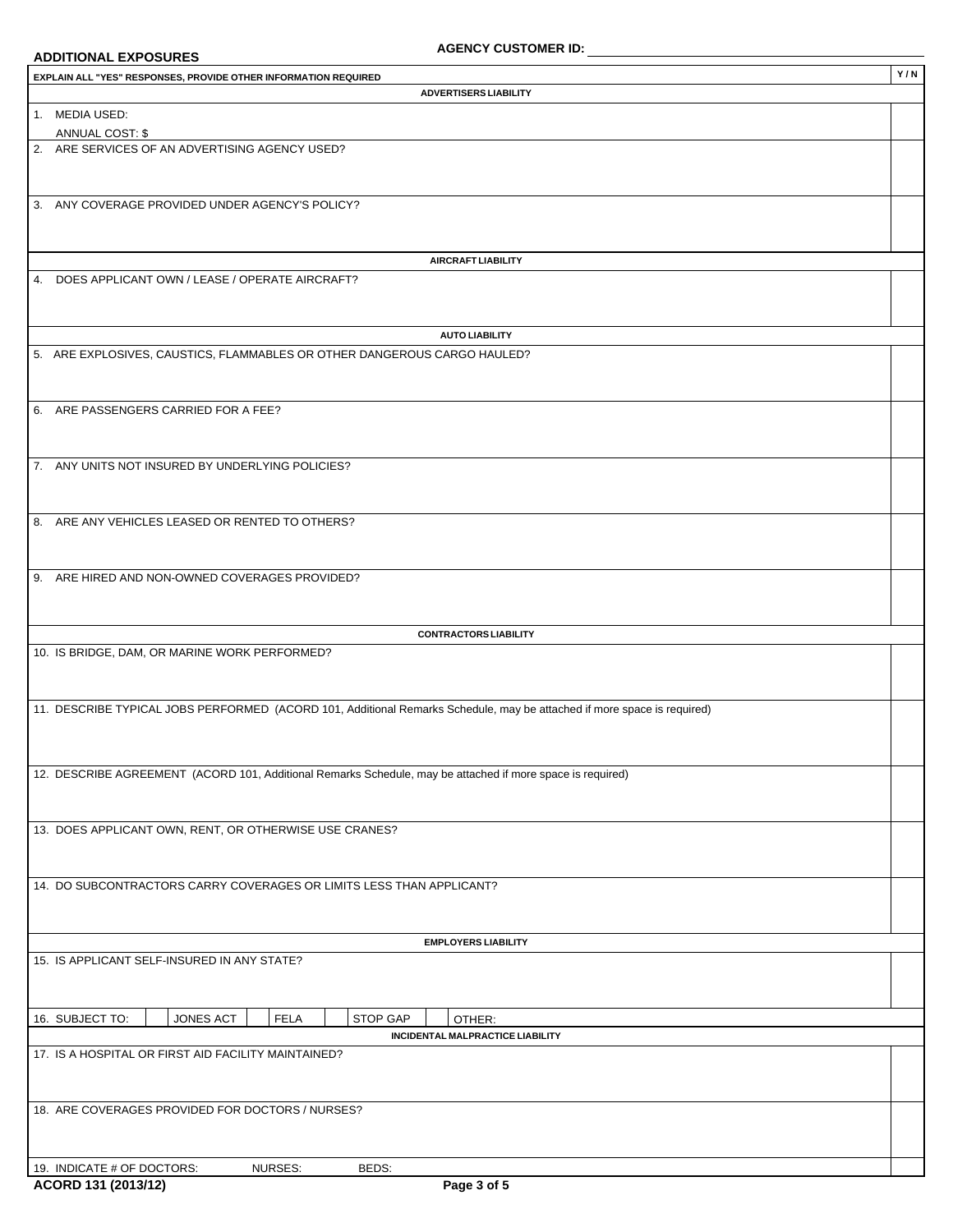# **ADDITIONAL EXPOSURES**

| EXPLAIN ALL "YES" RESPONSES, PROVIDE OTHER INFORMATION REQUIRED                                                         | Y/N |
|-------------------------------------------------------------------------------------------------------------------------|-----|
| <b>ADVERTISERS LIABILITY</b>                                                                                            |     |
| 1. MEDIA USED:                                                                                                          |     |
| ANNUAL COST: \$                                                                                                         |     |
| 2. ARE SERVICES OF AN ADVERTISING AGENCY USED?                                                                          |     |
|                                                                                                                         |     |
|                                                                                                                         |     |
| 3. ANY COVERAGE PROVIDED UNDER AGENCY'S POLICY?                                                                         |     |
|                                                                                                                         |     |
|                                                                                                                         |     |
| <b>AIRCRAFT LIABILITY</b>                                                                                               |     |
| 4. DOES APPLICANT OWN / LEASE / OPERATE AIRCRAFT?                                                                       |     |
|                                                                                                                         |     |
|                                                                                                                         |     |
| <b>AUTO LIABILITY</b>                                                                                                   |     |
|                                                                                                                         |     |
| 5. ARE EXPLOSIVES, CAUSTICS, FLAMMABLES OR OTHER DANGEROUS CARGO HAULED?                                                |     |
|                                                                                                                         |     |
|                                                                                                                         |     |
| 6. ARE PASSENGERS CARRIED FOR A FEE?                                                                                    |     |
|                                                                                                                         |     |
|                                                                                                                         |     |
| 7. ANY UNITS NOT INSURED BY UNDERLYING POLICIES?                                                                        |     |
|                                                                                                                         |     |
|                                                                                                                         |     |
| 8. ARE ANY VEHICLES LEASED OR RENTED TO OTHERS?                                                                         |     |
|                                                                                                                         |     |
|                                                                                                                         |     |
| 9. ARE HIRED AND NON-OWNED COVERAGES PROVIDED?                                                                          |     |
|                                                                                                                         |     |
|                                                                                                                         |     |
| <b>CONTRACTORS LIABILITY</b>                                                                                            |     |
| 10. IS BRIDGE, DAM, OR MARINE WORK PERFORMED?                                                                           |     |
|                                                                                                                         |     |
|                                                                                                                         |     |
| 11. DESCRIBE TYPICAL JOBS PERFORMED (ACORD 101, Additional Remarks Schedule, may be attached if more space is required) |     |
|                                                                                                                         |     |
|                                                                                                                         |     |
|                                                                                                                         |     |
| 12. DESCRIBE AGREEMENT (ACORD 101, Additional Remarks Schedule, may be attached if more space is required)              |     |
|                                                                                                                         |     |
|                                                                                                                         |     |
| 13. DOES APPLICANT OWN, RENT, OR OTHERWISE USE CRANES?                                                                  |     |
|                                                                                                                         |     |
|                                                                                                                         |     |
| 14. DO SUBCONTRACTORS CARRY COVERAGES OR LIMITS LESS THAN APPLICANT?                                                    |     |
|                                                                                                                         |     |
|                                                                                                                         |     |
|                                                                                                                         |     |
| <b>EMPLOYERS LIABILITY</b>                                                                                              |     |
| 15. IS APPLICANT SELF-INSURED IN ANY STATE?                                                                             |     |
|                                                                                                                         |     |
|                                                                                                                         |     |
| <b>STOP GAP</b><br>16. SUBJECT TO:<br>JONES ACT<br><b>FELA</b><br>OTHER:                                                |     |
| INCIDENTAL MALPRACTICE LIABILITY                                                                                        |     |
| 17. IS A HOSPITAL OR FIRST AID FACILITY MAINTAINED?                                                                     |     |
|                                                                                                                         |     |
|                                                                                                                         |     |
| 18. ARE COVERAGES PROVIDED FOR DOCTORS / NURSES?                                                                        |     |
|                                                                                                                         |     |
|                                                                                                                         |     |
|                                                                                                                         |     |
| 19. INDICATE # OF DOCTORS:<br>NURSES:<br>BEDS:                                                                          |     |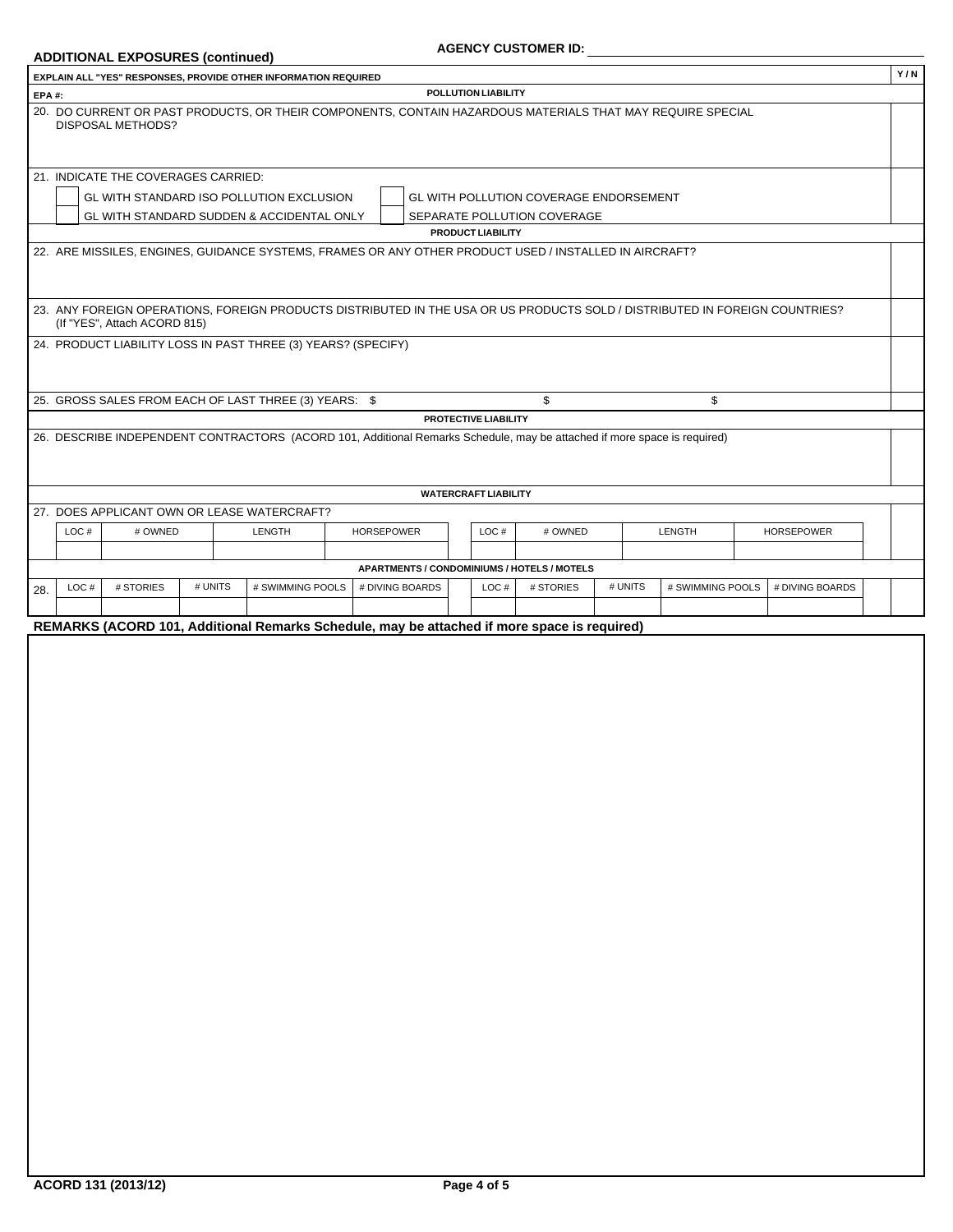### $ADDITIONAL EXPOSURES (continued)$

| EXPLAIN ALL "YES" RESPONSES, PROVIDE OTHER INFORMATION REQUIRED                                                                                             |                                                                                                    |                   |                             |                                                    |  |                 |                   | Y/N |
|-------------------------------------------------------------------------------------------------------------------------------------------------------------|----------------------------------------------------------------------------------------------------|-------------------|-----------------------------|----------------------------------------------------|--|-----------------|-------------------|-----|
| <b>EPA#:</b>                                                                                                                                                |                                                                                                    |                   | POLLUTION LIABILITY         |                                                    |  |                 |                   |     |
| 20. DO CURRENT OR PAST PRODUCTS, OR THEIR COMPONENTS, CONTAIN HAZARDOUS MATERIALS THAT MAY REQUIRE SPECIAL<br><b>DISPOSAL METHODS?</b>                      |                                                                                                    |                   |                             |                                                    |  |                 |                   |     |
| 21. INDICATE THE COVERAGES CARRIED:                                                                                                                         |                                                                                                    |                   |                             |                                                    |  |                 |                   |     |
| GL WITH STANDARD ISO POLLUTION EXCLUSION<br>GL WITH POLLUTION COVERAGE ENDORSEMENT                                                                          |                                                                                                    |                   |                             |                                                    |  |                 |                   |     |
| GL WITH STANDARD SUDDEN & ACCIDENTAL ONLY<br>SEPARATE POLLUTION COVERAGE                                                                                    |                                                                                                    |                   |                             |                                                    |  |                 |                   |     |
|                                                                                                                                                             |                                                                                                    |                   | <b>PRODUCT LIABILITY</b>    |                                                    |  |                 |                   |     |
| 22. ARE MISSILES, ENGINES, GUIDANCE SYSTEMS, FRAMES OR ANY OTHER PRODUCT USED / INSTALLED IN AIRCRAFT?                                                      |                                                                                                    |                   |                             |                                                    |  |                 |                   |     |
|                                                                                                                                                             |                                                                                                    |                   |                             |                                                    |  |                 |                   |     |
| 23. ANY FOREIGN OPERATIONS, FOREIGN PRODUCTS DISTRIBUTED IN THE USA OR US PRODUCTS SOLD / DISTRIBUTED IN FOREIGN COUNTRIES?<br>(If "YES", Attach ACORD 815) |                                                                                                    |                   |                             |                                                    |  |                 |                   |     |
| 24. PRODUCT LIABILITY LOSS IN PAST THREE (3) YEARS? (SPECIFY)                                                                                               |                                                                                                    |                   |                             |                                                    |  |                 |                   |     |
|                                                                                                                                                             |                                                                                                    |                   |                             |                                                    |  |                 |                   |     |
|                                                                                                                                                             |                                                                                                    |                   |                             |                                                    |  |                 |                   |     |
| 25. GROSS SALES FROM EACH OF LAST THREE (3) YEARS: \$<br>\$<br>\$                                                                                           |                                                                                                    |                   |                             |                                                    |  |                 |                   |     |
|                                                                                                                                                             |                                                                                                    |                   | <b>PROTECTIVE LIABILITY</b> |                                                    |  |                 |                   |     |
| 26. DESCRIBE INDEPENDENT CONTRACTORS (ACORD 101, Additional Remarks Schedule, may be attached if more space is required)                                    |                                                                                                    |                   |                             |                                                    |  |                 |                   |     |
|                                                                                                                                                             |                                                                                                    |                   |                             |                                                    |  |                 |                   |     |
|                                                                                                                                                             |                                                                                                    |                   |                             |                                                    |  |                 |                   |     |
|                                                                                                                                                             |                                                                                                    |                   | <b>WATERCRAFT LIABILITY</b> |                                                    |  |                 |                   |     |
| 27. DOES APPLICANT OWN OR LEASE WATERCRAFT?                                                                                                                 |                                                                                                    |                   |                             |                                                    |  |                 |                   |     |
| LOC#<br># OWNED                                                                                                                                             | <b>LENGTH</b>                                                                                      | <b>HORSEPOWER</b> | LOC#                        | # OWNED                                            |  | LENGTH          | <b>HORSEPOWER</b> |     |
|                                                                                                                                                             |                                                                                                    |                   |                             |                                                    |  |                 |                   |     |
|                                                                                                                                                             |                                                                                                    |                   |                             | <b>APARTMENTS / CONDOMINIUMS / HOTELS / MOTELS</b> |  |                 |                   |     |
| LOC#<br># STORIES<br>28.                                                                                                                                    | # UNITS<br># SWIMMING POOLS<br># DIVING BOARDS<br># STORIES<br># UNITS<br># SWIMMING POOLS<br>LOC# |                   |                             |                                                    |  | # DIVING BOARDS |                   |     |
|                                                                                                                                                             |                                                                                                    |                   |                             |                                                    |  |                 |                   |     |
| REMARKS (ACORD 101, Additional Remarks Schedule, may be attached if more space is required)                                                                 |                                                                                                    |                   |                             |                                                    |  |                 |                   |     |
|                                                                                                                                                             |                                                                                                    |                   |                             |                                                    |  |                 |                   |     |
|                                                                                                                                                             |                                                                                                    |                   |                             |                                                    |  |                 |                   |     |
|                                                                                                                                                             |                                                                                                    |                   |                             |                                                    |  |                 |                   |     |
|                                                                                                                                                             |                                                                                                    |                   |                             |                                                    |  |                 |                   |     |